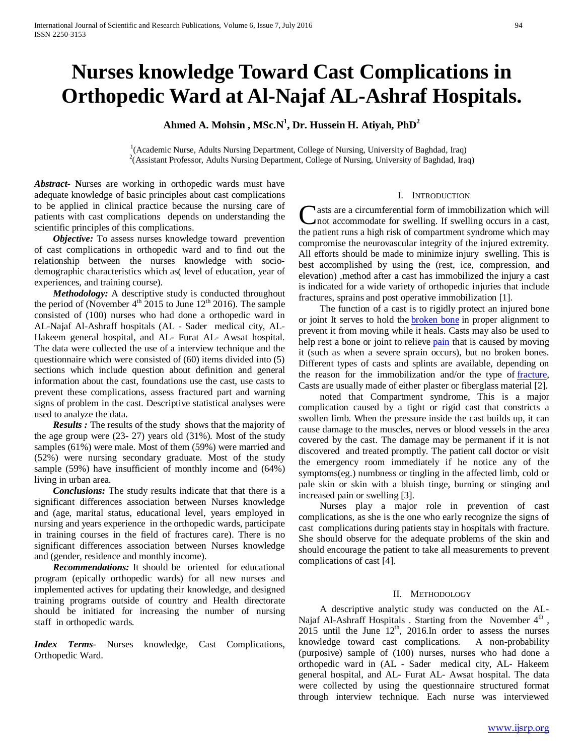# **Nurses knowledge Toward Cast Complications in Orthopedic Ward at Al-Najaf AL-Ashraf Hospitals.**

Ahmed A. Mohsin , MSc.N<sup>1</sup>, Dr. Hussein H. Atiyah, PhD<sup>2</sup>

<sup>1</sup>(Academic Nurse, Adults Nursing Department, College of Nursing, University of Baghdad, Iraq) <sup>2</sup>(Assistant Professor, Adults Nursing Department, College of Nursing, University of Baghdad, Iraq)

*Abstract***- N**urses are working in orthopedic wards must have adequate knowledge of basic principles about cast complications to be applied in clinical practice because the nursing care of patients with cast complications depends on understanding the scientific principles of this complications.

*Objective:* To assess nurses knowledge toward prevention of cast complications in orthopedic ward and to find out the relationship between the nurses knowledge with sociodemographic characteristics which as( level of education, year of experiences, and training course).

 *Methodology:* A descriptive study is conducted throughout the period of (November  $4<sup>th</sup>$  2015 to June 12<sup>th</sup> 2016). The sample consisted of (100) nurses who had done a orthopedic ward in AL-Najaf Al-Ashraff hospitals (AL - Sader medical city, AL-Hakeem general hospital, and AL- Furat AL- Awsat hospital. The data were collected the use of a interview technique and the questionnaire which were consisted of (60) items divided into (5) sections which include question about definition and general information about the cast, foundations use the cast, use casts to prevent these complications, assess fractured part and warning signs of problem in the cast. Descriptive statistical analyses were used to analyze the data.

 *Results :* The results of the study shows that the majority of the age group were (23- 27) years old (31%). Most of the study samples (61%) were male. Most of them (59%) were married and (52%) were nursing secondary graduate. Most of the study sample (59%) have insufficient of monthly income and (64%) living in urban area.

 *Conclusions:* The study results indicate that that there is a significant differences association between Nurses knowledge and (age, marital status, educational level, years employed in nursing and years experience in the orthopedic wards, participate in training courses in the field of fractures care). There is no significant differences association between Nurses knowledge and (gender, residence and monthly income).

 *Recommendations:* It should be oriented for educational program (epically orthopedic wards) for all new nurses and implemented actives for updating their knowledge, and designed training programs outside of country and Health directorate should be initiated for increasing the number of nursing staff in orthopedic wards.

*Index Terms*- Nurses knowledge, Cast Complications, Orthopedic Ward.

# I. INTRODUCTION

asts are a circumferential form of immobilization which will not accommodate for swelling. If swelling occurs in a cast, **C**asts are a circumferential form of immobilization which will not accommodate for swelling. If swelling occurs in a cast, the patient runs a high risk of compartment syndrome which may compromise the neurovascular integrity of the injured extremity. All efforts should be made to minimize injury swelling. This is best accomplished by using the (rest, ice, compression, and elevation) ,method after a cast has immobilized the injury a cast is indicated for a wide variety of orthopedic injuries that include fractures, sprains and post operative immobilization [1].

 The function of a cast is to rigidly protect an injured bone or joint It serves to hold the **[broken bone](http://www.emedicinehealth.com/bone_fracture_broken_bone/article_em.htm)** in proper alignment to prevent it from moving while it heals. Casts may also be used to help rest a bone or joint to relieve **[pain](http://www.emedicinehealth.com/slideshow_surprising_reasons_youre_in_pain/article_em.htm)** that is caused by moving it (such as when a severe sprain occurs), but no broken bones. Different types of casts and splints are available, depending on the reason for the immobilization and/or the type of [fracture,](http://www.emedicinehealth.com/bone_fracture_broken_bone/article_em.htm)  Casts are usually made of either plaster or fiberglass material [2].

 noted that Compartment syndrome, This is a major complication caused by a tight or rigid cast that constricts a swollen limb. When the pressure inside the cast builds up, it can cause damage to the muscles, nerves or blood vessels in the area covered by the cast. The damage may be permanent if it is not discovered and treated promptly. The patient call doctor or visit the emergency room immediately if he notice any of the symptoms(eg.) numbness or tingling in the affected limb, cold or pale skin or skin with a bluish tinge, burning or stinging and increased pain or swelling [3].

 Nurses play a major role in prevention of cast complications, as she is the one who early recognize the signs of cast complications during patients stay in hospitals with fracture. She should observe for the adequate problems of the skin and should encourage the patient to take all measurements to prevent complications of cast [4].

# II. METHODOLOGY

 A descriptive analytic study was conducted on the AL-Najaf Al-Ashraff Hospitals . Starting from the November 4<sup>th</sup>, 2015 until the June 12<sup>th</sup>, 2016.In order to assess the nurses knowledge toward cast complications. A non-probability (purposive) sample of (100) nurses, nurses who had done a orthopedic ward in (AL - Sader medical city, AL- Hakeem general hospital, and AL- Furat AL- Awsat hospital. The data were collected by using the questionnaire structured format through interview technique. Each nurse was interviewed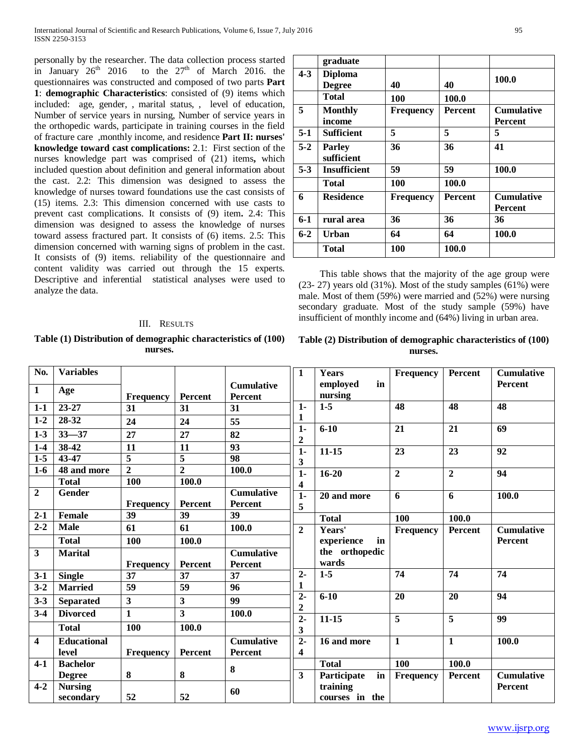personally by the researcher. The data collection process started in January  $26<sup>th</sup>$  2016 to the  $27<sup>th</sup>$  of March 2016. the questionnaires was constructed and composed of two parts **Part 1**: **demographic Characteristics**: consisted of (9) items which included: age, gender, , marital status, , level of education, Number of service years in nursing, Number of service years in the orthopedic wards, participate in training courses in the field of fracture care ,monthly income, and residence **Part II: nurses' knowledge toward cast complications:** 2.1: First section of the nurses knowledge part was comprised of (21) items**,** which included question about definition and general information about the cast. 2.2: This dimension was designed to assess the knowledge of nurses toward foundations use the cast consists of (15) items. 2.3: This dimension concerned with use casts to prevent cast complications. It consists of (9) item**.** 2.4: This dimension was designed to assess the knowledge of nurses toward assess fractured part. It consists of (6) items. 2.5: This dimension concerned with warning signs of problem in the cast. It consists of (9) items. reliability of the questionnaire and content validity was carried out through the 15 experts. Descriptive and inferential statistical analyses were used to analyze the data.

#### III. RESULTS

**Table (1) Distribution of demographic characteristics of (100) nurses.**

|         | graduate                        |                  |                |                                     |
|---------|---------------------------------|------------------|----------------|-------------------------------------|
| $4 - 3$ | <b>Diploma</b><br><b>Degree</b> | 40               | 40             | 100.0                               |
|         | Total                           | 100              | 100.0          |                                     |
| 5       | <b>Monthly</b><br>income        | <b>Frequency</b> | <b>Percent</b> | <b>Cumulative</b><br><b>Percent</b> |
| $5-1$   | <b>Sufficient</b>               | 5                | 5              | 5                                   |
| $5 - 2$ | <b>Parley</b><br>sufficient     | 36               | 36             | 41                                  |
| $5 - 3$ | <b>Insufficient</b>             | 59               | 59             | 100.0                               |
|         | Total                           | 100              | 100.0          |                                     |
| 6       | <b>Residence</b>                | <b>Frequency</b> | <b>Percent</b> | <b>Cumulative</b><br><b>Percent</b> |
| $6-1$   | rural area                      | 36               | 36             | 36                                  |
| $6 - 2$ | Urban                           | 64               | 64             | 100.0                               |
|         | Total                           | 100              | 100.0          |                                     |

 This table shows that the majority of the age group were (23- 27) years old (31%). Most of the study samples (61%) were male. Most of them (59%) were married and (52%) were nursing secondary graduate. Most of the study sample (59%) have insufficient of monthly income and (64%) living in urban area.

# **Table (2) Distribution of demographic characteristics of (100) nurses.**

| No.                     | <b>Variables</b>   |                         |                         |                   | 1                     | Years             | Frequency        | Percent        | <b>Cumulative</b>  |
|-------------------------|--------------------|-------------------------|-------------------------|-------------------|-----------------------|-------------------|------------------|----------------|--------------------|
|                         |                    |                         |                         | <b>Cumulative</b> |                       | in<br>employed    |                  |                | Percent            |
| $\mathbf{1}$            | Age                | <b>Frequency</b>        | Percent                 | Percent           |                       | nursing           |                  |                |                    |
| $1-1$                   | $23 - 27$          | 31                      | 31                      | 31                | $1 -$                 | $1 - 5$           | 48               | 48             | 48                 |
| $1-2$                   | 28-32              | 24                      | 24                      | 55                | 1                     |                   |                  |                |                    |
| $1-3$                   | $33 - 37$          | 27                      | 27                      | 82                | $1 -$<br>$\mathbf 2$  | $6 - 10$          | 21               | 21             | 69                 |
| $1-4$                   | 38-42              | 11                      | 11                      | 93                | $1-$                  | $11 - 15$         | 23               | 23             | 92                 |
| $1-5$                   | 43-47              | $\overline{\mathbf{5}}$ | $\overline{5}$          | 98                | $\mathbf{3}$          |                   |                  |                |                    |
| $1-6$                   | 48 and more        | $\overline{2}$          | $\overline{2}$          | 100.0             | $\overline{1}$        | $16 - 20$         | $\overline{2}$   | $\overline{2}$ | 94                 |
|                         | <b>Total</b>       | 100                     | 100.0                   |                   | 4                     |                   |                  |                |                    |
| $\mathbf{2}$            | <b>Gender</b>      |                         |                         | <b>Cumulative</b> | $1-$                  | 20 and more       | 6                | 6              | $\overline{100.0}$ |
|                         |                    | <b>Frequency</b>        | Percent                 | <b>Percent</b>    | 5                     |                   |                  |                |                    |
| $2 - 1$                 | <b>Female</b>      | 39                      | 39                      | 39                |                       | <b>Total</b>      | 100              | 100.0          |                    |
| $2 - 2$                 | <b>Male</b>        | 61                      | 61                      | 100.0             | $\mathbf{2}$          | Years'            | <b>Frequency</b> | Percent        | <b>Cumulative</b>  |
|                         | <b>Total</b>       | 100                     | 100.0                   |                   |                       | experience<br>in  |                  |                | <b>Percent</b>     |
| $\overline{\mathbf{3}}$ | <b>Marital</b>     |                         |                         | <b>Cumulative</b> |                       | the orthopedic    |                  |                |                    |
|                         |                    | <b>Frequency</b>        | Percent                 | <b>Percent</b>    |                       | wards             |                  |                |                    |
| $3-1$                   | <b>Single</b>      | 37                      | 37                      | 37                | $2-$                  | $1-5$             | 74               | 74             | 74                 |
| $3 - 2$                 | <b>Married</b>     | 59                      | 59                      | 96                | 1                     |                   |                  |                |                    |
| $3 - 3$                 | <b>Separated</b>   | $\overline{\mathbf{3}}$ | $\overline{\mathbf{3}}$ | 99                | $2 -$<br>$\mathbf{2}$ | $6 - 10$          | 20               | 20             | 94                 |
| $3-4$                   | <b>Divorced</b>    | $\mathbf{1}$            | 3                       | 100.0             | $2-$                  | $11-15$           | 5                | 5              | 99                 |
|                         | <b>Total</b>       | 100                     | 100.0                   |                   | 3                     |                   |                  |                |                    |
| $\overline{\mathbf{4}}$ | <b>Educational</b> |                         |                         | <b>Cumulative</b> | $2-$                  | 16 and more       | $\mathbf{1}$     | $\mathbf{1}$   | 100.0              |
|                         | level              | <b>Frequency</b>        | Percent                 | <b>Percent</b>    | 4                     |                   |                  |                |                    |
| $4-1$                   | <b>Bachelor</b>    |                         |                         | 8                 |                       | <b>Total</b>      | 100              | 100.0          |                    |
|                         | <b>Degree</b>      | 8                       | 8                       |                   | $\mathbf{3}$          | Participate<br>in | Frequency        | Percent        | <b>Cumulative</b>  |
| $4 - 2$                 | <b>Nursing</b>     |                         |                         | 60                |                       | training          |                  |                | Percent            |
|                         | secondary          | 52                      | 52                      |                   |                       | courses in the    |                  |                |                    |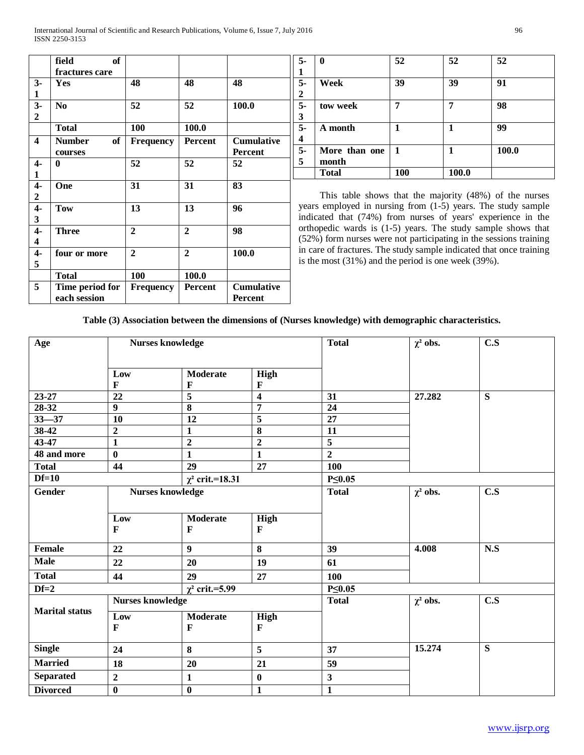|                  | field<br>of         |                  |                |                   |
|------------------|---------------------|------------------|----------------|-------------------|
|                  | fractures care      |                  |                |                   |
| $3-$             | Yes                 | 48               | 48             | 48                |
| 1                |                     |                  |                |                   |
| $3-$             | N <sub>0</sub>      | 52               | 52             | 100.0             |
| $\overline{2}$   |                     |                  |                |                   |
|                  | <b>Total</b>        | 100              | 100.0          |                   |
| 4                | <b>Number</b><br>of | <b>Frequency</b> | <b>Percent</b> | <b>Cumulative</b> |
|                  | courses             |                  |                | <b>Percent</b>    |
| $\overline{4}$   | 0                   | 52               | 52             | 52                |
| 1                |                     |                  |                |                   |
| $4-$             | One                 | 31               | 31             | 83                |
| $\boldsymbol{2}$ |                     |                  |                |                   |
| $4-$             | <b>Tow</b>          | 13               | 13             | 96                |
| 3                |                     |                  |                |                   |
| $4-$             | <b>Three</b>        | $\overline{2}$   | $\mathbf{2}$   | 98                |
| 4                |                     |                  |                |                   |
| $4-$             | four or more        | $\mathbf{2}$     | $\mathbf{2}$   | 100.0             |
| 5                |                     |                  |                |                   |
|                  | <b>Total</b>        | 100              | 100.0          |                   |
| 5                | Time period for     | <b>Frequency</b> | <b>Percent</b> | <b>Cumulative</b> |
|                  | each session        |                  |                | <b>Percent</b>    |

| $5-$                    | 0             | 52  | 52    | 52    |
|-------------------------|---------------|-----|-------|-------|
| $\mathbf{1}$            |               |     |       |       |
| $\overline{5}$          | Week          | 39  | 39    | 91    |
| $\overline{\mathbf{c}}$ |               |     |       |       |
| 5.                      | tow week      | 7   |       | 98    |
| 3                       |               |     |       |       |
| $\overline{5}$          | A month       |     |       | 99    |
| $\overline{\mathbf{4}}$ |               |     |       |       |
| $\overline{5}$          | More than one | -1  |       | 100.0 |
| 5                       | month         |     |       |       |
|                         | <b>Total</b>  | 100 | 100.0 |       |

 This table shows that the majority (48%) of the nurses years employed in nursing from (1-5) years. The study sample indicated that (74%) from nurses of years' experience in the orthopedic wards is (1-5) years. The study sample shows that (52%) form nurses were not participating in the sessions training in care of fractures. The study sample indicated that once training is the most (31%) and the period is one week (39%).

# **Table (3) Association between the dimensions of (Nurses knowledge) with demographic characteristics.**

| Age                   |                         | <b>Nurses knowledge</b>         |                             | <b>Total</b>            | $\chi^2$ obs. | $\overline{\mathbf{C}}$ .<br>S |  |
|-----------------------|-------------------------|---------------------------------|-----------------------------|-------------------------|---------------|--------------------------------|--|
|                       | Low<br>$\mathbf{F}$     | <b>Moderate</b><br>$\mathbf F$  | <b>High</b><br>F            |                         |               |                                |  |
| $23 - 27$             | $\overline{22}$         | $\overline{5}$                  | $\overline{\mathbf{4}}$     | 31                      | 27.282        | $\overline{\mathbf{s}}$        |  |
| 28-32                 | $\overline{9}$          | 8                               | $\overline{7}$              | 24                      |               |                                |  |
| $33 - 37$             | 10                      | $\overline{12}$                 | $\overline{5}$              | $\overline{27}$         |               |                                |  |
| $38-42$               | $\overline{2}$          | $\mathbf{1}$                    | 8                           | $\overline{11}$         |               |                                |  |
| 43-47                 | $\mathbf{1}$            | $\overline{2}$                  | $\overline{2}$              | $\overline{\mathbf{5}}$ |               |                                |  |
| 48 and more           | $\bf{0}$                | $\mathbf{1}$                    | $\mathbf{1}$                | $\overline{2}$          |               |                                |  |
| <b>Total</b>          | 44                      | 29                              | 27                          | 100                     |               |                                |  |
| $Df=10$               |                         | $χ²$ crit.=18.31                |                             | $P \leq 0.05$           |               |                                |  |
| <b>Gender</b>         |                         | <b>Nurses knowledge</b>         |                             | <b>Total</b>            | $\chi^2$ obs. | C.S                            |  |
|                       | Low<br>$\mathbf{F}$     | <b>Moderate</b><br>$\mathbf{F}$ | High<br>$\mathbf F$         |                         |               |                                |  |
| <b>Female</b>         | 22                      | $\boldsymbol{9}$                | 8                           | 39                      | 4.008         | N.S                            |  |
| <b>Male</b>           | 22                      | 20                              | 19                          | 61                      |               |                                |  |
| <b>Total</b>          | 44                      | 29                              | 27                          | 100                     |               |                                |  |
| $Df=2$                |                         | $\gamma^2$ crit.=5.99           |                             | $P \leq 0.05$           |               |                                |  |
|                       | <b>Nurses knowledge</b> |                                 |                             | <b>Total</b>            | $\chi^2$ obs. | C.S                            |  |
| <b>Marital status</b> | Low<br>$\mathbf{F}$     | <b>Moderate</b><br>$\mathbf{F}$ | <b>High</b><br>$\mathbf{F}$ |                         |               |                                |  |
| <b>Single</b>         | 24                      | 8                               | 5                           | 37                      | 15.274        | $\overline{\mathbf{s}}$        |  |
| <b>Married</b>        | 18                      | 20                              | 21                          | 59                      |               |                                |  |
| <b>Separated</b>      | $\overline{2}$          | $\mathbf{1}$                    | $\bf{0}$                    | $\overline{\mathbf{3}}$ |               |                                |  |
| <b>Divorced</b>       | $\overline{\mathbf{0}}$ | $\bf{0}$                        | $\mathbf{1}$                | $\mathbf{1}$            |               |                                |  |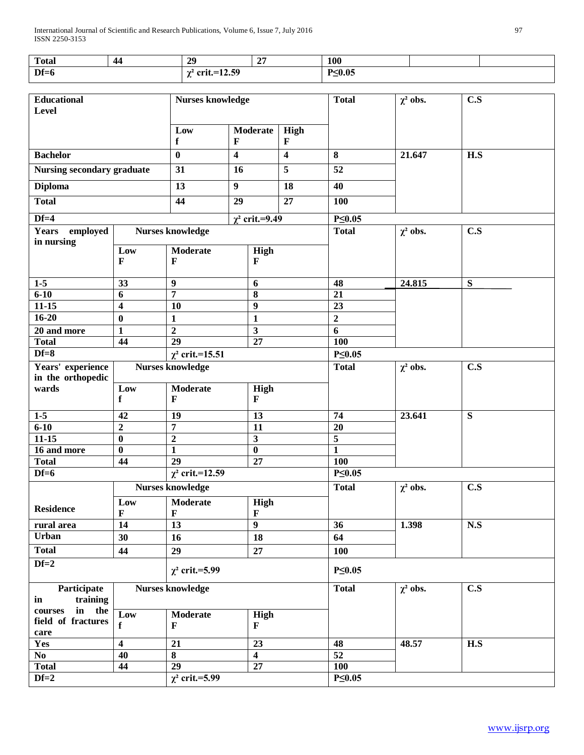| <b>Total</b> | 44 | 20<br><u>ы.</u>               | $\bigcap$<br>- - | 100          |  |
|--------------|----|-------------------------------|------------------|--------------|--|
| $Df=6$       |    | $\cdot$ crit.=12.59<br>$\sim$ |                  | $P\leq 0.05$ |  |

| <b>Educational</b>                |                         | <b>Nurses knowledge</b>  |                 |                            |                      | <b>Total</b>     | $\chi^2$ obs.    | $\overline{\text{C.S}}$ |
|-----------------------------------|-------------------------|--------------------------|-----------------|----------------------------|----------------------|------------------|------------------|-------------------------|
| Level                             |                         |                          |                 |                            |                      |                  |                  |                         |
|                                   |                         | Low<br>f                 | Moderate<br>F   |                            | High<br>$\mathbf{F}$ |                  |                  |                         |
| <b>Bachelor</b>                   | $\bf{0}$                | $\overline{\mathbf{4}}$  |                 | $\overline{\mathbf{4}}$    | 8                    | 21.647           | $\overline{H.S}$ |                         |
| <b>Nursing secondary graduate</b> |                         | 31                       | 16              |                            | $\overline{5}$       | 52               |                  |                         |
| <b>Diploma</b>                    |                         | 13                       | $\overline{9}$  |                            | 18                   | 40               |                  |                         |
| <b>Total</b>                      |                         | $\overline{44}$          | $\overline{29}$ |                            | 27                   | 100              |                  |                         |
| $Df=4$                            |                         |                          |                 | $\chi^2$ crit.=9.49        |                      | $P \leq 0.05$    |                  |                         |
| <b>Years</b><br>employed          |                         | <b>Nurses knowledge</b>  |                 |                            |                      | <b>Total</b>     | $\chi^2$ obs.    | C.S                     |
| in nursing                        |                         |                          |                 |                            |                      |                  |                  |                         |
|                                   | Low<br>F                | Moderate<br>$\mathbf{F}$ |                 | High<br>$\mathbf F$        |                      |                  |                  |                         |
|                                   |                         |                          |                 |                            |                      |                  |                  |                         |
| $1-5$                             | 33                      | 9                        |                 | 6                          |                      | 48               | 24.815           | S                       |
| $6 - 10$                          | 6                       | $\overline{7}$           |                 | 8                          |                      | $\overline{21}$  |                  |                         |
| $11 - 15$                         | $\overline{\mathbf{4}}$ | 10                       |                 | $\boldsymbol{9}$           |                      | $\overline{23}$  |                  |                         |
| $16 - 20$                         | $\bf{0}$                | $\mathbf{1}$             |                 | $\mathbf{1}$               |                      | $\boldsymbol{2}$ |                  |                         |
| 20 and more                       | 1                       | $\overline{2}$           |                 | $\overline{\mathbf{3}}$    |                      | 6                |                  |                         |
| <b>Total</b>                      | 44                      | $\overline{29}$          |                 | $\overline{27}$            |                      | 100              |                  |                         |
| $Df=8$                            | $χ²$ crit.=15.51        |                          |                 | $P \leq 0.05$              |                      |                  |                  |                         |
| Years' experience                 |                         | <b>Nurses knowledge</b>  |                 |                            | <b>Total</b>         | $\chi^2$ obs.    | C.S              |                         |
| in the orthopedic                 |                         |                          |                 |                            |                      |                  |                  |                         |
| wards                             | Low                     | Moderate                 |                 | High                       |                      |                  |                  |                         |
|                                   | f                       | F                        |                 | $\mathbf F$                |                      |                  |                  |                         |
| $1-5$                             | 42                      | $\overline{19}$          |                 | 13                         |                      | 74               | 23.641           | $\overline{\mathbf{S}}$ |
| $6 - 10$                          | $\boldsymbol{2}$        | $\overline{7}$           |                 | $\overline{11}$            |                      | $\overline{20}$  |                  |                         |
| $11 - 15$                         | $\bf{0}$                | $\overline{2}$           |                 | $\overline{\mathbf{3}}$    |                      | $\overline{5}$   |                  |                         |
| 16 and more                       | $\boldsymbol{0}$        | $\mathbf{1}$             |                 | $\overline{\mathbf{0}}$    |                      | $\mathbf{1}$     |                  |                         |
| <b>Total</b>                      | 44                      | $\overline{29}$          |                 | $\overline{27}$            |                      | 100              |                  |                         |
| $Df=6$                            |                         | $\chi^2$ crit.=12.59     |                 |                            |                      | $P \leq 0.05$    |                  |                         |
|                                   |                         | <b>Nurses knowledge</b>  |                 |                            | <b>Total</b>         | $\chi^2$ obs.    | C.S              |                         |
|                                   |                         |                          |                 |                            |                      |                  |                  |                         |
| <b>Residence</b>                  | Low<br>F                | Moderate<br>$\mathbf F$  |                 | <b>High</b><br>$\mathbf F$ |                      |                  |                  |                         |
| rural area                        | 14                      | 13                       |                 | $\overline{9}$             |                      | 36               | 1.398            | N.S                     |
| <b>Urban</b>                      | 30                      | 16                       |                 | 18                         |                      | 64               |                  |                         |
| <b>Total</b>                      | 44                      | 29                       |                 | 27                         |                      | 100              |                  |                         |
| $Df=2$                            |                         |                          |                 |                            |                      |                  |                  |                         |
|                                   |                         | $\chi^2$ crit.=5.99      |                 |                            | $P \leq 0.05$        |                  |                  |                         |
| Participate                       |                         | <b>Nurses knowledge</b>  |                 |                            |                      | <b>Total</b>     | $\chi^2$ obs.    | C.S                     |
| training<br>in                    |                         |                          |                 |                            |                      |                  |                  |                         |
| in<br>the<br>courses              | Low                     | <b>Moderate</b>          | High            |                            |                      |                  |                  |                         |
| field of fractures                | f                       | $\mathbf{F}$             |                 | $\mathbf F$                |                      |                  |                  |                         |
| care                              |                         |                          |                 |                            |                      |                  |                  |                         |
| Yes                               | 4                       | 21                       |                 | 23                         |                      | 48               | 48.57            | H.S                     |
| $\bf No$                          | 40                      | $\bf 8$                  |                 | $\overline{\mathbf{4}}$    |                      | 52               |                  |                         |
| <b>Total</b>                      | 44                      | $\overline{29}$          |                 | $\bf 27$                   |                      | 100              |                  |                         |
| $Df=2$                            |                         | $\chi^2$ crit.=5.99      |                 |                            | $P \leq 0.05$        |                  |                  |                         |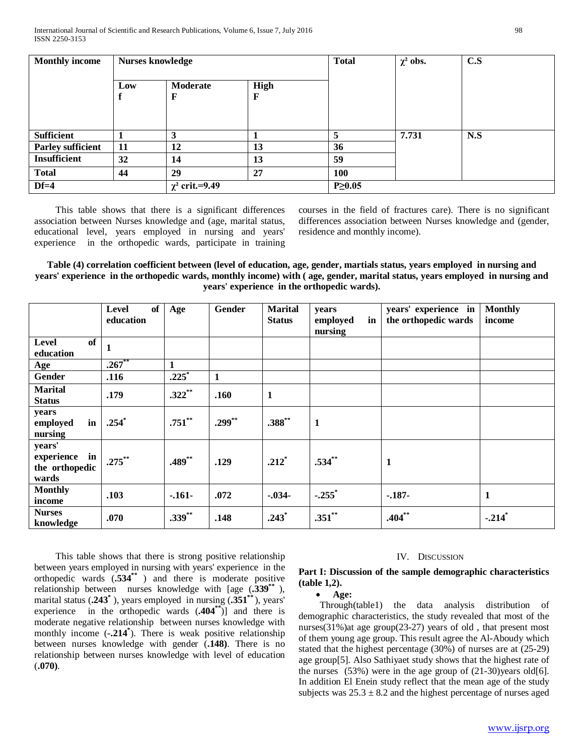| <b>Monthly income</b>    |     | <b>Nurses knowledge</b> |           | <b>Total</b> | $\chi^2$ obs. | C.S |  |
|--------------------------|-----|-------------------------|-----------|--------------|---------------|-----|--|
|                          | Low | Moderate<br>$\mathbf F$ | High<br>F |              |               |     |  |
| <b>Sufficient</b>        |     | 3                       |           | 5            | 7.731         | N.S |  |
| <b>Parley sufficient</b> | 11  | 12                      | 13        | 36           |               |     |  |
| <b>Insufficient</b>      | 32  | 14                      | 13        | 59           |               |     |  |
| <b>Total</b>             | 44  | 29                      | 27        | <b>100</b>   |               |     |  |
| $Df=4$                   |     | $\chi^2$ crit.=9.49     |           |              |               |     |  |

 This table shows that there is a significant differences association between Nurses knowledge and (age, marital status, educational level, years employed in nursing and years' experience in the orthopedic wards, participate in training courses in the field of fractures care). There is no significant differences association between Nurses knowledge and (gender, residence and monthly income).

**Table (4) correlation coefficient between (level of education, age, gender, martials status, years employed in nursing and years' experience in the orthopedic wards, monthly income) with ( age, gender, marital status, years employed in nursing and years' experience in the orthopedic wards).**

|                                                       | of<br><b>Level</b><br>education | Age       | Gender       | <b>Marital</b><br><b>Status</b> | years<br>in<br>employed<br>nursing | years' experience in<br>the orthopedic wards | <b>Monthly</b><br>income |
|-------------------------------------------------------|---------------------------------|-----------|--------------|---------------------------------|------------------------------------|----------------------------------------------|--------------------------|
| of<br><b>Level</b><br>education                       | $\mathbf{1}$                    |           |              |                                 |                                    |                                              |                          |
| Age                                                   | $.267***$                       | 1         |              |                                 |                                    |                                              |                          |
| Gender                                                | .116                            | $.225*$   | $\mathbf{1}$ |                                 |                                    |                                              |                          |
| <b>Marital</b><br><b>Status</b>                       | .179                            | $.322**$  | .160         | $\mathbf{1}$                    |                                    |                                              |                          |
| years<br>employed<br>in<br>nursing                    | $.254*$                         | $.751***$ | $.299***$    | $.388^{**}$                     | $\mathbf{1}$                       |                                              |                          |
| years'<br>experience<br>in<br>the orthopedic<br>wards | $.275***$                       | $.489**$  | .129         | $.212*$                         | $.534**$                           | 1                                            |                          |
| <b>Monthly</b><br>income                              | .103                            | $-.161-$  | .072         | $-.034-$                        | $-.255$ <sup>*</sup>               | $-.187-$                                     | 1                        |
| <b>Nurses</b><br>knowledge                            | .070                            | $.339***$ | .148         | $.243*$                         | $.351**$                           | $.404**$                                     | $-.214$ <sup>*</sup>     |

 This table shows that there is strong positive relationship between years employed in nursing with years' experience in the orthopedic wards  $(.534^{**})$  and there is moderate positive relationship between nurses knowledge with [age  $(.339^{**})$ , marital status  $(.243^*)$ , years employed in nursing  $(.351^{**})$ , years' experience in the orthopedic wards  $(.404^{**})$ ] and there is moderate negative relationship between nurses knowledge with monthly income (-.214<sup>\*</sup>). There is weak positive relationship between nurses knowledge with gender (**.148)**. There is no relationship between nurses knowledge with level of education (**.070)**.

#### IV. DISCUSSION

# **Part I: Discussion of the sample demographic characteristics (table 1,2).**

• **Age:**

 Through(table1) the data analysis distribution of demographic characteristics, the study revealed that most of the nurses(31%)at age group(23-27) years of old , that present most of them young age group. This result agree the Al-Aboudy which stated that the highest percentage (30%) of nurses are at (25-29) age group[5]. Also Sathiyaet study shows that the highest rate of the nurses  $(53%)$  were in the age group of  $(21-30)$ years old[6]. In addition El Enein study reflect that the mean age of the study subjects was  $25.3 \pm 8.2$  and the highest percentage of nurses aged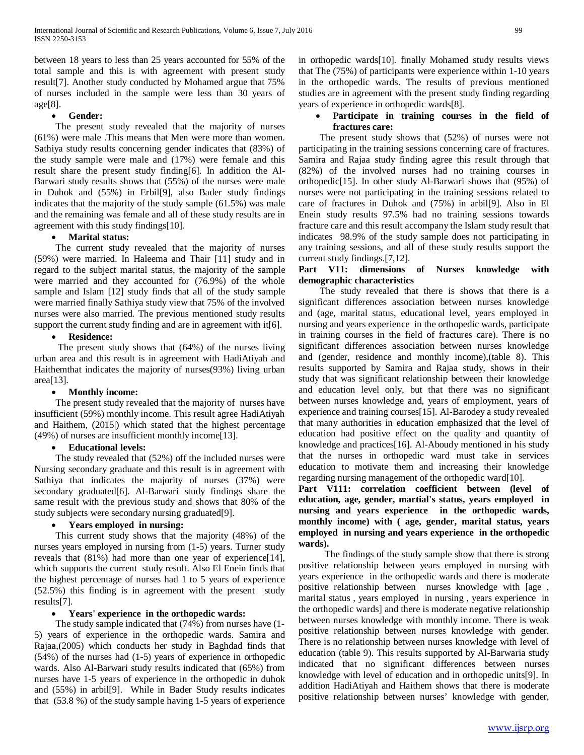between 18 years to less than 25 years accounted for 55% of the total sample and this is with agreement with present study result[7]. Another study conducted by Mohamed argue that 75% of nurses included in the sample were less than 30 years of age[8].

## • **Gender:**

 The present study revealed that the majority of nurses (61%) were male .This means that Men were more than women. Sathiya study results concerning gender indicates that (83%) of the study sample were male and (17%) were female and this result share the present study finding[6]. In addition the Al-Barwari study results shows that (55%) of the nurses were male in Duhok and (55%) in Erbil[9], also Bader study findings indicates that the majority of the study sample (61.5%) was male and the remaining was female and all of these study results are in agreement with this study findings[10].

## • **Marital status:**

 The current study revealed that the majority of nurses (59%) were married. In Haleema and Thair [11] study and in regard to the subject marital status, the majority of the sample were married and they accounted for (76.9%) of the whole sample and Islam [12] study finds that all of the study sample were married finally Sathiya study view that 75% of the involved nurses were also married. The previous mentioned study results support the current study finding and are in agreement with it[6].

## • **Residence:**

 The present study shows that (64%) of the nurses living urban area and this result is in agreement with HadiAtiyah and Haithemthat indicates the majority of nurses(93%) living urban area[13].

#### • **Monthly income:**

 The present study revealed that the majority of nurses have insufficient (59%) monthly income. This result agree HadiAtiyah and Haithem, (2015|) which stated that the highest percentage (49%) of nurses are insufficient monthly income[13].

# • **Educational levels:**

 The study revealed that (52%) off the included nurses were Nursing secondary graduate and this result is in agreement with Sathiya that indicates the majority of nurses (37%) were secondary graduated[6]. Al-Barwari study findings share the same result with the previous study and shows that 80% of the study subjects were secondary nursing graduated[9].

# • **Years employed in nursing:**

 This current study shows that the majority (48%) of the nurses years employed in nursing from (1-5) years. Turner study reveals that (81%) had more than one year of experience[14], which supports the current study result. Also El Enein finds that the highest percentage of nurses had 1 to 5 years of experience (52.5%) this finding is in agreement with the present study results[7].

# • **Years' experience in the orthopedic wards:**

 The study sample indicated that (74%) from nurses have (1- 5) years of experience in the orthopedic wards. Samira and Rajaa,(2005) which conducts her study in Baghdad finds that (54%) of the nurses had (1-5) years of experience in orthopedic wards. Also Al-Barwari study results indicated that (65%) from nurses have 1-5 years of experience in the orthopedic in duhok and (55%) in arbil[9]. While in Bader Study results indicates that (53.8 %) of the study sample having 1-5 years of experience

in orthopedic wards[10]. finally Mohamed study results views that The (75%) of participants were experience within 1-10 years in the orthopedic wards. The results of previous mentioned studies are in agreement with the present study finding regarding years of experience in orthopedic wards[8].

# • **Participate in training courses in the field of fractures care:**

 The present study shows that (52%) of nurses were not participating in the training sessions concerning care of fractures. Samira and Rajaa study finding agree this result through that (82%) of the involved nurses had no training courses in orthopedic[15]. In other study Al-Barwari shows that (95%) of nurses were not participating in the training sessions related to care of fractures in Duhok and (75%) in arbil[9]. Also in El Enein study results 97.5% had no training sessions towards fracture care and this result accompany the Islam study result that indicates 98.9% of the study sample does not participating in any training sessions, and all of these study results support the current study findings.[7,12].

# **Part V11: dimensions of Nurses knowledge with demographic characteristics**

 The study revealed that there is shows that there is a significant differences association between nurses knowledge and (age, marital status, educational level, years employed in nursing and years experience in the orthopedic wards, participate in training courses in the field of fractures care). There is no significant differences association between nurses knowledge and (gender, residence and monthly income),(table 8). This results supported by Samira and Rajaa study, shows in their study that was significant relationship between their knowledge and education level only, but that there was no significant between nurses knowledge and, years of employment, years of experience and training courses[15]. Al-Barodey a study revealed that many authorities in education emphasized that the level of education had positive effect on the quality and quantity of knowledge and practices[16]. Al-Aboudy mentioned in his study that the nurses in orthopedic ward must take in services education to motivate them and increasing their knowledge regarding nursing management of the orthopedic ward[10].

**Part V111: correlation coefficient between (level of education, age, gender, martial's status, years employed in nursing and years experience in the orthopedic wards, monthly income) with ( age, gender, marital status, years employed in nursing and years experience in the orthopedic wards).**

 The findings of the study sample show that there is strong positive relationship between years employed in nursing with years experience in the orthopedic wards and there is moderate positive relationship between nurses knowledge with [age , marital status , years employed in nursing , years experience in the orthopedic wards] and there is moderate negative relationship between nurses knowledge with monthly income. There is weak positive relationship between nurses knowledge with gender. There is no relationship between nurses knowledge with level of education (table 9). This results supported by Al-Barwaria study indicated that no significant differences between nurses knowledge with level of education and in orthopedic units[9]. In addition HadiAtiyah and Haithem shows that there is moderate positive relationship between nurses' knowledge with gender,